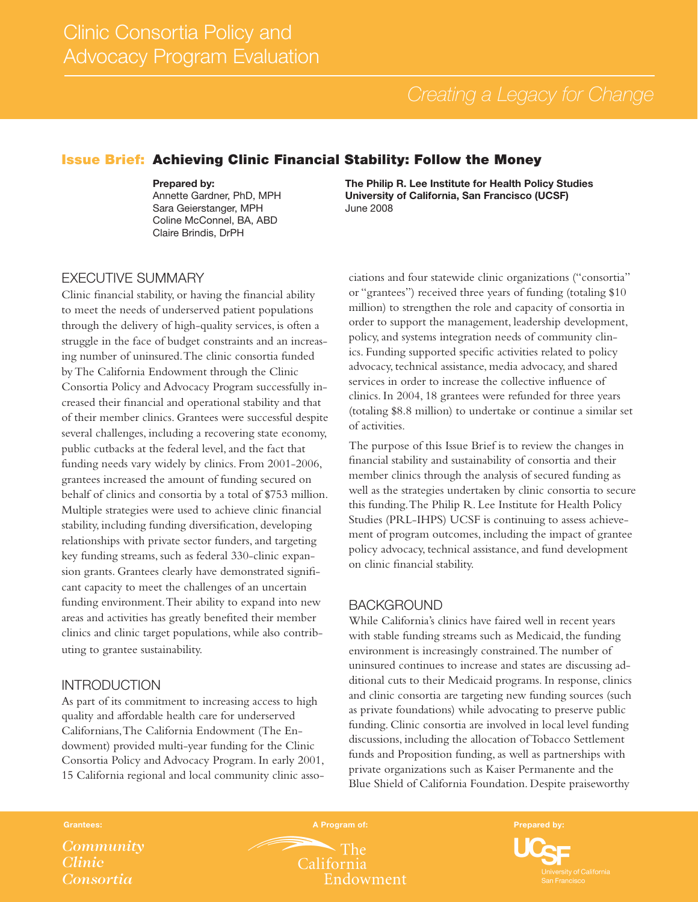# Issue Brief: Achieving Clinic Financial Stability: Follow the Money

#### Prepared by:

Annette Gardner, PhD, MPH Sara Geierstanger, MPH Coline McConnel, BA, ABD Claire Brindis, DrPH

#### The Philip R. Lee Institute for Health Policy Studies University of California, San Francisco (UCSF) June 2008

## EXECUTIVE SUMMARY

Clinic financial stability, or having the financial ability to meet the needs of underserved patient populations through the delivery of high-quality services, is often a struggle in the face of budget constraints and an increasing number of uninsured. The clinic consortia funded by The California Endowment through the Clinic Consortia Policy and Advocacy Program successfully increased their financial and operational stability and that of their member clinics. Grantees were successful despite several challenges, including a recovering state economy, public cutbacks at the federal level, and the fact that funding needs vary widely by clinics. From 2001-2006, grantees increased the amount of funding secured on behalf of clinics and consortia by a total of \$753 million. Multiple strategies were used to achieve clinic financial stability, including funding diversification, developing relationships with private sector funders, and targeting key funding streams, such as federal 330-clinic expansion grants. Grantees clearly have demonstrated significant capacity to meet the challenges of an uncertain funding environment. Their ability to expand into new areas and activities has greatly benefited their member clinics and clinic target populations, while also contributing to grantee sustainability.

## INTRODUCTION

As part of its commitment to increasing access to high quality and affordable health care for underserved Californians, The California Endowment (The Endowment) provided multi-year funding for the Clinic Consortia Policy and Advocacy Program. In early 2001, 15 California regional and local community clinic associations and four statewide clinic organizations ("consortia" or "grantees") received three years of funding (totaling \$10 million) to strengthen the role and capacity of consortia in order to support the management, leadership development, policy, and systems integration needs of community clinics. Funding supported specific activities related to policy advocacy, technical assistance, media advocacy, and shared services in order to increase the collective influence of clinics. In 2004, 18 grantees were refunded for three years (totaling \$8.8 million) to undertake or continue a similar set of activities.

The purpose of this Issue Brief is to review the changes in financial stability and sustainability of consortia and their member clinics through the analysis of secured funding as well as the strategies undertaken by clinic consortia to secure this funding. The Philip R. Lee Institute for Health Policy Studies (PRL-IHPS) UCSF is continuing to assess achievement of program outcomes, including the impact of grantee policy advocacy, technical assistance, and fund development on clinic financial stability.

## BACKGROUND

While California's clinics have faired well in recent years with stable funding streams such as Medicaid, the funding environment is increasingly constrained. The number of uninsured continues to increase and states are discussing additional cuts to their Medicaid programs. In response, clinics and clinic consortia are targeting new funding sources (such as private foundations) while advocating to preserve public funding. Clinic consortia are involved in local level funding discussions, including the allocation of Tobacco Settlement funds and Proposition funding, as well as partnerships with private organizations such as Kaiser Permanente and the Blue Shield of California Foundation. Despite praiseworthy

*Community Clinic Consortia*

 $\mathbf{r}$  The

California Endowment

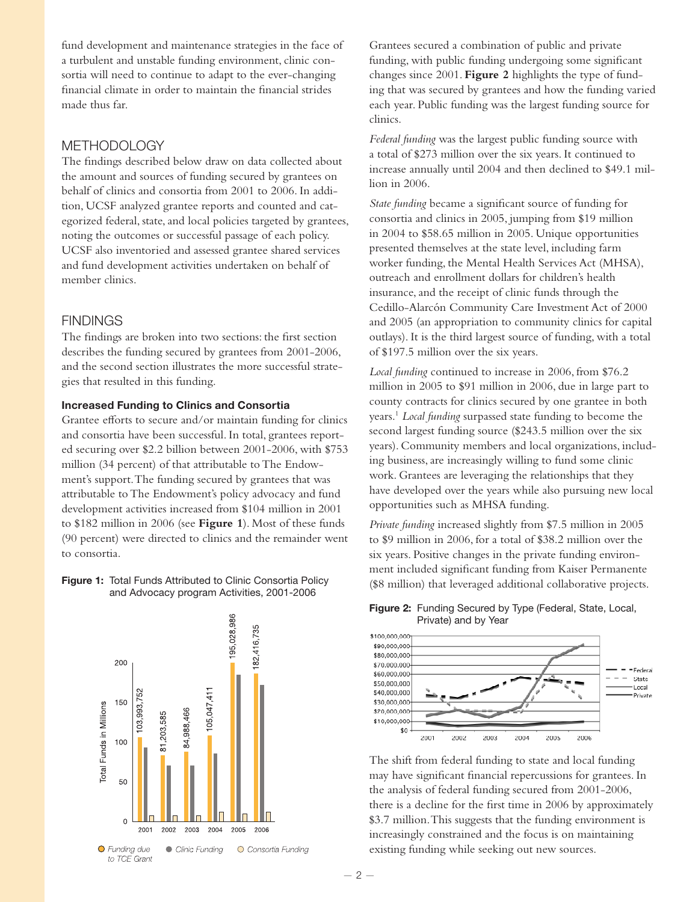fund development and maintenance strategies in the face of a turbulent and unstable funding environment, clinic consortia will need to continue to adapt to the ever-changing financial climate in order to maintain the financial strides made thus far.

# **METHODOLOGY**

The findings described below draw on data collected about the amount and sources of funding secured by grantees on behalf of clinics and consortia from 2001 to 2006. In addition, UCSF analyzed grantee reports and counted and categorized federal, state, and local policies targeted by grantees, noting the outcomes or successful passage of each policy. UCSF also inventoried and assessed grantee shared services and fund development activities undertaken on behalf of member clinics.

## **FINDINGS**

The findings are broken into two sections: the first section describes the funding secured by grantees from 2001-2006, and the second section illustrates the more successful strategies that resulted in this funding.

#### Increased Funding to Clinics and Consortia

Grantee efforts to secure and/or maintain funding for clinics and consortia have been successful. In total, grantees reported securing over \$2.2 billion between 2001-2006, with \$753 million (34 percent) of that attributable to The Endowment's support. The funding secured by grantees that was attributable to The Endowment's policy advocacy and fund development activities increased from \$104 million in 2001 to \$182 million in 2006 (see **Figure 1**). Most of these funds (90 percent) were directed to clinics and the remainder went to consortia.

#### Figure 1: Total Funds Attributed to Clinic Consortia Policy and Advocacy program Activities, 2001-2006



Grantees secured a combination of public and private funding, with public funding undergoing some significant changes since 2001. **Figure 2** highlights the type of funding that was secured by grantees and how the funding varied each year. Public funding was the largest funding source for clinics.

*Federal funding* was the largest public funding source with a total of \$273 million over the six years. It continued to increase annually until 2004 and then declined to \$49.1 million in 2006.

*State funding* became a significant source of funding for consortia and clinics in 2005, jumping from \$19 million in 2004 to \$58.65 million in 2005. Unique opportunities presented themselves at the state level, including farm worker funding, the Mental Health Services Act (MHSA), outreach and enrollment dollars for children's health insurance, and the receipt of clinic funds through the Cedillo-Alarcón Community Care Investment Act of 2000 and 2005 (an appropriation to community clinics for capital outlays). It is the third largest source of funding, with a total of \$197.5 million over the six years.

*Local funding* continued to increase in 2006, from \$76.2 million in 2005 to \$91 million in 2006, due in large part to county contracts for clinics secured by one grantee in both years.1 *Local funding* surpassed state funding to become the second largest funding source (\$243.5 million over the six years). Community members and local organizations, including business, are increasingly willing to fund some clinic work. Grantees are leveraging the relationships that they have developed over the years while also pursuing new local opportunities such as MHSA funding.

*Private funding* increased slightly from \$7.5 million in 2005 to \$9 million in 2006, for a total of \$38.2 million over the six years. Positive changes in the private funding environment included significant funding from Kaiser Permanente (\$8 million) that leveraged additional collaborative projects.





The shift from federal funding to state and local funding may have significant financial repercussions for grantees. In the analysis of federal funding secured from 2001-2006, there is a decline for the first time in 2006 by approximately \$3.7 million. This suggests that the funding environment is increasingly constrained and the focus is on maintaining existing funding while seeking out new sources.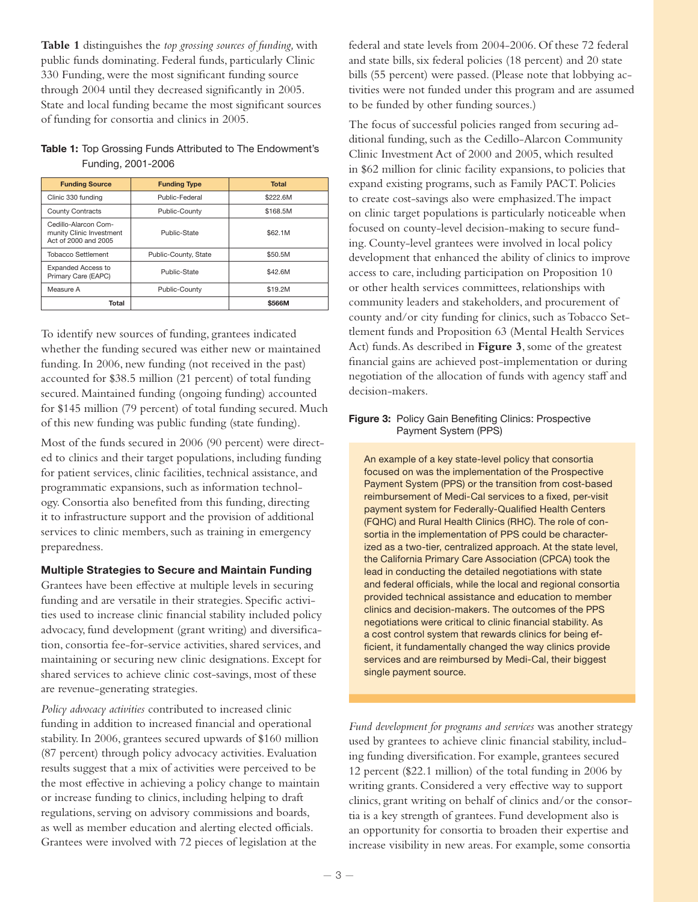**Table 1** distinguishes the *top grossing sources of funding,* with public funds dominating. Federal funds, particularly Clinic 330 Funding, were the most significant funding source through 2004 until they decreased significantly in 2005. State and local funding became the most significant sources of funding for consortia and clinics in 2005.

## Table 1: Top Grossing Funds Attributed to The Endowment's Funding, 2001-2006

| <b>Funding Source</b>                                                    | <b>Funding Type</b>  | <b>Total</b> |
|--------------------------------------------------------------------------|----------------------|--------------|
| Clinic 330 funding                                                       | Public-Federal       | \$222.6M     |
| <b>County Contracts</b>                                                  | Public-County        | \$168.5M     |
| Cedillo-Alarcon Com-<br>munity Clinic Investment<br>Act of 2000 and 2005 | Public-State         | \$62.1M      |
| <b>Tobacco Settlement</b>                                                | Public-County, State | \$50.5M      |
| <b>Expanded Access to</b><br>Primary Care (EAPC)                         | Public-State         | \$42.6M      |
| Measure A                                                                | Public-County        | \$19.2M      |
| Total                                                                    |                      | \$566M       |

To identify new sources of funding, grantees indicated whether the funding secured was either new or maintained funding. In 2006, new funding (not received in the past) accounted for \$38.5 million (21 percent) of total funding secured. Maintained funding (ongoing funding) accounted for \$145 million (79 percent) of total funding secured. Much of this new funding was public funding (state funding).

Most of the funds secured in 2006 (90 percent) were directed to clinics and their target populations, including funding for patient services, clinic facilities, technical assistance, and programmatic expansions, such as information technology. Consortia also benefited from this funding, directing it to infrastructure support and the provision of additional services to clinic members, such as training in emergency preparedness.

## Multiple Strategies to Secure and Maintain Funding

Grantees have been effective at multiple levels in securing funding and are versatile in their strategies. Specific activities used to increase clinic financial stability included policy advocacy, fund development (grant writing) and diversification, consortia fee-for-service activities, shared services, and maintaining or securing new clinic designations. Except for shared services to achieve clinic cost-savings, most of these are revenue-generating strategies.

*Policy advocacy activities* contributed to increased clinic funding in addition to increased financial and operational stability. In 2006, grantees secured upwards of \$160 million (87 percent) through policy advocacy activities. Evaluation results suggest that a mix of activities were perceived to be the most effective in achieving a policy change to maintain or increase funding to clinics, including helping to draft regulations, serving on advisory commissions and boards, as well as member education and alerting elected officials. Grantees were involved with 72 pieces of legislation at the

federal and state levels from 2004-2006. Of these 72 federal and state bills, six federal policies (18 percent) and 20 state bills (55 percent) were passed. (Please note that lobbying activities were not funded under this program and are assumed to be funded by other funding sources.)

The focus of successful policies ranged from securing additional funding, such as the Cedillo-Alarcon Community Clinic Investment Act of 2000 and 2005, which resulted in \$62 million for clinic facility expansions, to policies that expand existing programs, such as Family PACT. Policies to create cost-savings also were emphasized. The impact on clinic target populations is particularly noticeable when focused on county-level decision-making to secure funding. County-level grantees were involved in local policy development that enhanced the ability of clinics to improve access to care, including participation on Proposition 10 or other health services committees, relationships with community leaders and stakeholders, and procurement of county and/or city funding for clinics, such as Tobacco Settlement funds and Proposition 63 (Mental Health Services Act) funds. As described in **Figure 3**, some of the greatest financial gains are achieved post-implementation or during negotiation of the allocation of funds with agency staff and decision-makers.

#### Figure 3: Policy Gain Benefiting Clinics: Prospective Payment System (PPS)

An example of a key state-level policy that consortia focused on was the implementation of the Prospective Payment System (PPS) or the transition from cost-based reimbursement of Medi-Cal services to a fixed, per-visit payment system for Federally-Qualified Health Centers (FQHC) and Rural Health Clinics (RHC). The role of consortia in the implementation of PPS could be characterized as a two-tier, centralized approach. At the state level, the California Primary Care Association (CPCA) took the lead in conducting the detailed negotiations with state and federal officials, while the local and regional consortia provided technical assistance and education to member clinics and decision-makers. The outcomes of the PPS negotiations were critical to clinic financial stability. As a cost control system that rewards clinics for being efficient, it fundamentally changed the way clinics provide services and are reimbursed by Medi-Cal, their biggest single payment source.

*Fund development for programs and services* was another strategy used by grantees to achieve clinic financial stability, including funding diversification. For example, grantees secured 12 percent (\$22.1 million) of the total funding in 2006 by writing grants. Considered a very effective way to support clinics, grant writing on behalf of clinics and/or the consortia is a key strength of grantees. Fund development also is an opportunity for consortia to broaden their expertise and increase visibility in new areas. For example, some consortia